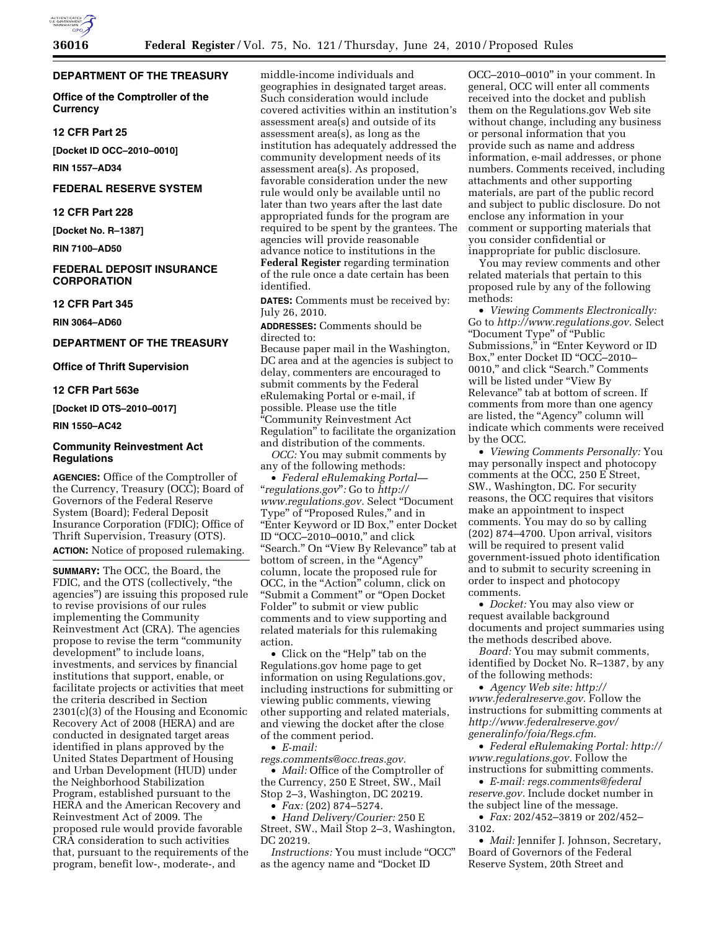## **DEPARTMENT OF THE TREASURY**

**Office of the Comptroller of the Currency** 

## **12 CFR Part 25**

**[Docket ID OCC–2010–0010]** 

**RIN 1557–AD34** 

# **FEDERAL RESERVE SYSTEM**

**12 CFR Part 228** 

**[Docket No. R–1387]** 

**RIN 7100–AD50** 

# **FEDERAL DEPOSIT INSURANCE CORPORATION**

## **12 CFR Part 345**

**RIN 3064–AD60** 

## **DEPARTMENT OF THE TREASURY**

**Office of Thrift Supervision** 

#### **12 CFR Part 563e**

**[Docket ID OTS–2010–0017]** 

# **RIN 1550–AC42**

## **Community Reinvestment Act Regulations**

**AGENCIES:** Office of the Comptroller of the Currency, Treasury (OCC); Board of Governors of the Federal Reserve System (Board); Federal Deposit Insurance Corporation (FDIC); Office of Thrift Supervision, Treasury (OTS). **ACTION:** Notice of proposed rulemaking.

**SUMMARY:** The OCC, the Board, the FDIC, and the OTS (collectively, ''the agencies'') are issuing this proposed rule to revise provisions of our rules implementing the Community Reinvestment Act (CRA). The agencies propose to revise the term ''community development'' to include loans, investments, and services by financial institutions that support, enable, or facilitate projects or activities that meet the criteria described in Section 2301(c)(3) of the Housing and Economic Recovery Act of 2008 (HERA) and are conducted in designated target areas identified in plans approved by the United States Department of Housing and Urban Development (HUD) under the Neighborhood Stabilization Program, established pursuant to the HERA and the American Recovery and Reinvestment Act of 2009. The proposed rule would provide favorable CRA consideration to such activities that, pursuant to the requirements of the program, benefit low-, moderate-, and

middle-income individuals and geographies in designated target areas. Such consideration would include covered activities within an institution's assessment area(s) and outside of its assessment area(s), as long as the institution has adequately addressed the community development needs of its assessment area(s). As proposed, favorable consideration under the new rule would only be available until no later than two years after the last date appropriated funds for the program are required to be spent by the grantees. The agencies will provide reasonable advance notice to institutions in the

**Federal Register** regarding termination of the rule once a date certain has been identified.

**DATES:** Comments must be received by: July 26, 2010.

**ADDRESSES:** Comments should be directed to:

Because paper mail in the Washington, DC area and at the agencies is subject to delay, commenters are encouraged to submit comments by the Federal eRulemaking Portal or e-mail, if possible. Please use the title ''Community Reinvestment Act Regulation'' to facilitate the organization and distribution of the comments.

*OCC:* You may submit comments by any of the following methods:

• *Federal eRulemaking Portal—*  ''*regulations.gov*''*:* Go to *http:// www.regulations.gov.* Select ''Document Type'' of ''Proposed Rules,'' and in ''Enter Keyword or ID Box,'' enter Docket ID ''OCC–2010–0010,'' and click ''Search.'' On ''View By Relevance'' tab at bottom of screen, in the "Agency" column, locate the proposed rule for OCC, in the "Action" column, click on ''Submit a Comment'' or ''Open Docket Folder'' to submit or view public comments and to view supporting and related materials for this rulemaking action.

• Click on the "Help" tab on the Regulations.gov home page to get information on using Regulations.gov, including instructions for submitting or viewing public comments, viewing other supporting and related materials, and viewing the docket after the close of the comment period.

• *E-mail:* 

*regs.comments@occ.treas.gov.* 

• *Mail:* Office of the Comptroller of the Currency, 250 E Street, SW., Mail Stop 2–3, Washington, DC 20219.

• *Fax:* (202) 874–5274.

• *Hand Delivery/Courier:* 250 E Street, SW., Mail Stop 2–3, Washington, DC 20219.

*Instructions:* You must include ''OCC'' as the agency name and ''Docket ID

OCC–2010–0010'' in your comment. In general, OCC will enter all comments received into the docket and publish them on the Regulations.gov Web site without change, including any business or personal information that you provide such as name and address information, e-mail addresses, or phone numbers. Comments received, including attachments and other supporting materials, are part of the public record and subject to public disclosure. Do not enclose any information in your comment or supporting materials that you consider confidential or inappropriate for public disclosure.

You may review comments and other related materials that pertain to this proposed rule by any of the following methods:

• *Viewing Comments Electronically:*  Go to *http://www.regulations.gov.* Select ''Document Type'' of ''Public Submissions,'' in ''Enter Keyword or ID Box,'' enter Docket ID ''OCC–2010– 0010,'' and click ''Search.'' Comments will be listed under ''View By Relevance'' tab at bottom of screen. If comments from more than one agency are listed, the ''Agency'' column will indicate which comments were received by the OCC.

• *Viewing Comments Personally:* You may personally inspect and photocopy comments at the OCC, 250 E Street, SW., Washington, DC. For security reasons, the OCC requires that visitors make an appointment to inspect comments. You may do so by calling (202) 874–4700. Upon arrival, visitors will be required to present valid government-issued photo identification and to submit to security screening in order to inspect and photocopy comments.

• *Docket:* You may also view or request available background documents and project summaries using the methods described above.

*Board:* You may submit comments, identified by Docket No. R–1387, by any of the following methods:

• *Agency Web site: http:// www.federalreserve.gov.* Follow the instructions for submitting comments at *http://www.federalreserve.gov/ generalinfo/foia/Regs.cfm.* 

• *Federal eRulemaking Portal: http:// www.regulations.gov.* Follow the instructions for submitting comments.

• *E-mail: regs.comments@federal reserve.gov.* Include docket number in the subject line of the message.

• *Fax:* 202/452–3819 or 202/452– 3102.

• *Mail:* Jennifer J. Johnson, Secretary, Board of Governors of the Federal Reserve System, 20th Street and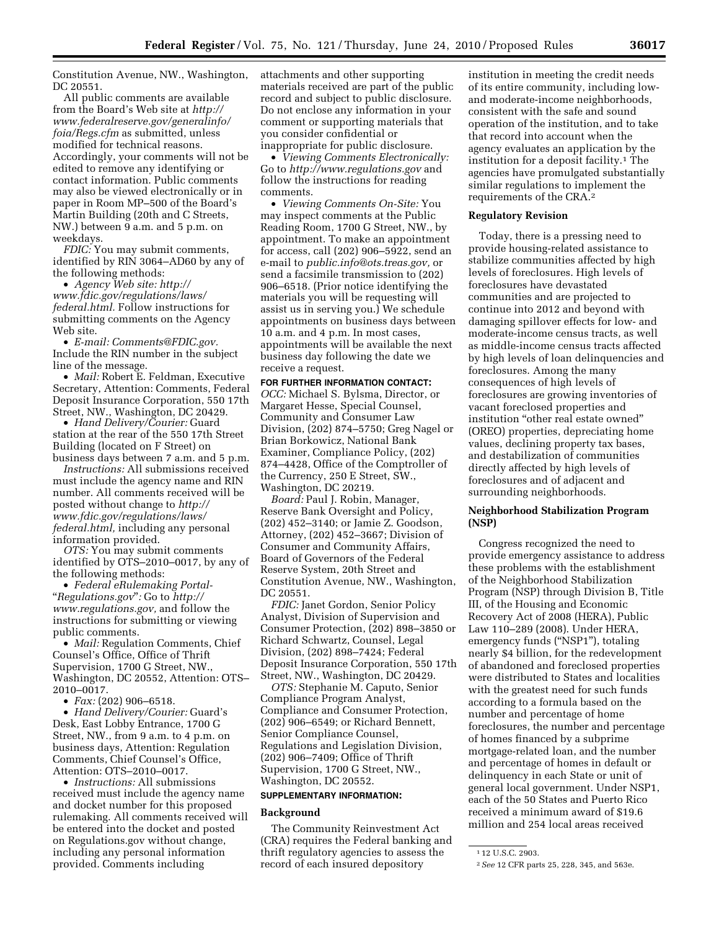Constitution Avenue, NW., Washington, DC 20551.

All public comments are available from the Board's Web site at *http:// www.federalreserve.gov/generalinfo/ foia/Regs.cfm* as submitted, unless modified for technical reasons. Accordingly, your comments will not be edited to remove any identifying or contact information. Public comments may also be viewed electronically or in paper in Room MP–500 of the Board's Martin Building (20th and C Streets, NW.) between 9 a.m. and 5 p.m. on weekdays.

*FDIC:* You may submit comments, identified by RIN 3064–AD60 by any of the following methods:

• *Agency Web site: http:// www.fdic.gov/regulations/laws/ federal.html.* Follow instructions for submitting comments on the Agency Web site.

• *E-mail: Comments@FDIC.gov.*  Include the RIN number in the subject line of the message.

• *Mail:* Robert E. Feldman, Executive Secretary, Attention: Comments, Federal Deposit Insurance Corporation, 550 17th Street, NW., Washington, DC 20429.

• *Hand Delivery/Courier:* Guard station at the rear of the 550 17th Street Building (located on F Street) on business days between 7 a.m. and 5 p.m.

*Instructions:* All submissions received must include the agency name and RIN number. All comments received will be posted without change to *http:// www.fdic.gov/regulations/laws/ federal.html,* including any personal information provided.

*OTS:* You may submit comments identified by OTS–2010–0017, by any of the following methods:

• *Federal eRulemaking Portal-*  ''*Regulations.gov*''*:* Go to *http:// www.regulations.gov,* and follow the instructions for submitting or viewing public comments.

• *Mail:* Regulation Comments, Chief Counsel's Office, Office of Thrift Supervision, 1700 G Street, NW., Washington, DC 20552, Attention: OTS– 2010–0017.

• *Fax:* (202) 906–6518.

• *Hand Delivery/Courier:* Guard's Desk, East Lobby Entrance, 1700 G Street, NW., from 9 a.m. to 4 p.m. on business days, Attention: Regulation Comments, Chief Counsel's Office, Attention: OTS–2010–0017.

• *Instructions:* All submissions received must include the agency name and docket number for this proposed rulemaking. All comments received will be entered into the docket and posted on Regulations.gov without change, including any personal information provided. Comments including

attachments and other supporting materials received are part of the public record and subject to public disclosure. Do not enclose any information in your comment or supporting materials that you consider confidential or inappropriate for public disclosure.

• *Viewing Comments Electronically:*  Go to *http://www.regulations.gov* and follow the instructions for reading comments.

• *Viewing Comments On-Site:* You may inspect comments at the Public Reading Room, 1700 G Street, NW., by appointment. To make an appointment for access, call (202) 906–5922, send an e-mail to *public.info@ots.treas.gov,* or send a facsimile transmission to (202) 906–6518. (Prior notice identifying the materials you will be requesting will assist us in serving you.) We schedule appointments on business days between 10 a.m. and 4 p.m. In most cases, appointments will be available the next business day following the date we receive a request.

**FOR FURTHER INFORMATION CONTACT:**  *OCC:* Michael S. Bylsma, Director, or Margaret Hesse, Special Counsel, Community and Consumer Law Division, (202) 874–5750; Greg Nagel or Brian Borkowicz, National Bank Examiner, Compliance Policy, (202) 874–4428, Office of the Comptroller of the Currency, 250 E Street, SW., Washington, DC 20219.

*Board:* Paul J. Robin, Manager, Reserve Bank Oversight and Policy, (202) 452–3140; or Jamie Z. Goodson, Attorney, (202) 452–3667; Division of Consumer and Community Affairs, Board of Governors of the Federal Reserve System, 20th Street and Constitution Avenue, NW., Washington, DC 20551.

*FDIC:* Janet Gordon, Senior Policy Analyst, Division of Supervision and Consumer Protection, (202) 898–3850 or Richard Schwartz, Counsel, Legal Division, (202) 898–7424; Federal Deposit Insurance Corporation, 550 17th Street, NW., Washington, DC 20429.

*OTS:* Stephanie M. Caputo, Senior Compliance Program Analyst, Compliance and Consumer Protection, (202) 906–6549; or Richard Bennett, Senior Compliance Counsel, Regulations and Legislation Division, (202) 906–7409; Office of Thrift Supervision, 1700 G Street, NW., Washington, DC 20552.

# **SUPPLEMENTARY INFORMATION:**

### **Background**

The Community Reinvestment Act (CRA) requires the Federal banking and thrift regulatory agencies to assess the record of each insured depository

institution in meeting the credit needs of its entire community, including lowand moderate-income neighborhoods, consistent with the safe and sound operation of the institution, and to take that record into account when the agency evaluates an application by the institution for a deposit facility.1 The agencies have promulgated substantially similar regulations to implement the requirements of the CRA.2

#### **Regulatory Revision**

Today, there is a pressing need to provide housing-related assistance to stabilize communities affected by high levels of foreclosures. High levels of foreclosures have devastated communities and are projected to continue into 2012 and beyond with damaging spillover effects for low- and moderate-income census tracts, as well as middle-income census tracts affected by high levels of loan delinquencies and foreclosures. Among the many consequences of high levels of foreclosures are growing inventories of vacant foreclosed properties and institution ''other real estate owned'' (OREO) properties, depreciating home values, declining property tax bases, and destabilization of communities directly affected by high levels of foreclosures and of adjacent and surrounding neighborhoods.

# **Neighborhood Stabilization Program (NSP)**

Congress recognized the need to provide emergency assistance to address these problems with the establishment of the Neighborhood Stabilization Program (NSP) through Division B, Title III, of the Housing and Economic Recovery Act of 2008 (HERA), Public Law 110–289 (2008). Under HERA, emergency funds ("NSP1"), totaling nearly \$4 billion, for the redevelopment of abandoned and foreclosed properties were distributed to States and localities with the greatest need for such funds according to a formula based on the number and percentage of home foreclosures, the number and percentage of homes financed by a subprime mortgage-related loan, and the number and percentage of homes in default or delinquency in each State or unit of general local government. Under NSP1, each of the 50 States and Puerto Rico received a minimum award of \$19.6 million and 254 local areas received

<sup>1</sup> 12 U.S.C. 2903.

<sup>2</sup>*See* 12 CFR parts 25, 228, 345, and 563e.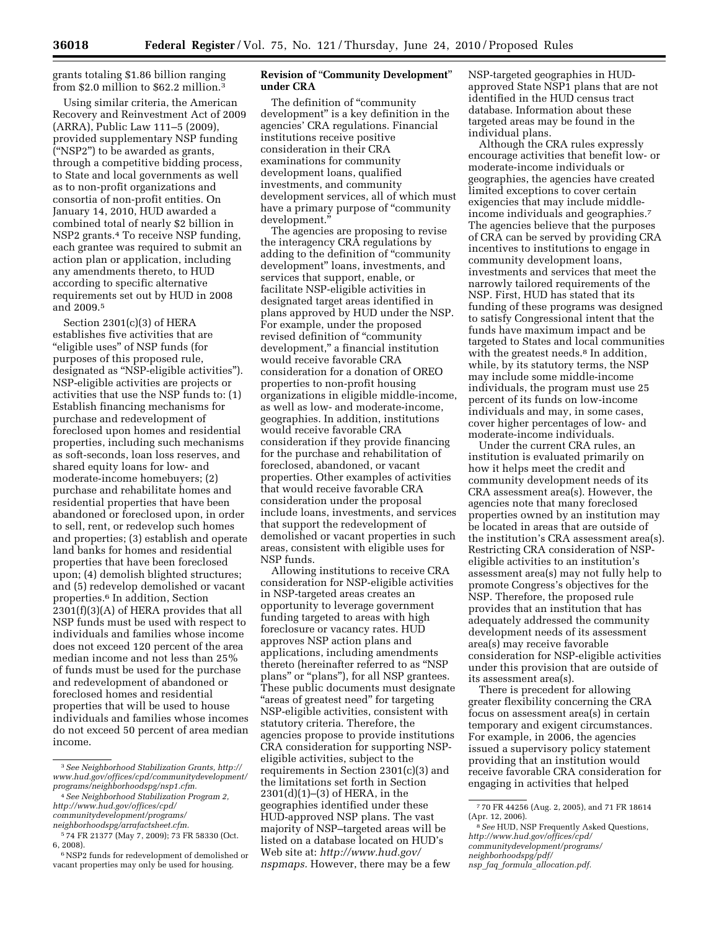grants totaling \$1.86 billion ranging from \$2.0 million to \$62.2 million.3

Using similar criteria, the American Recovery and Reinvestment Act of 2009 (ARRA), Public Law 111–5 (2009), provided supplementary NSP funding (''NSP2'') to be awarded as grants, through a competitive bidding process, to State and local governments as well as to non-profit organizations and consortia of non-profit entities. On January 14, 2010, HUD awarded a combined total of nearly \$2 billion in NSP2 grants.4 To receive NSP funding, each grantee was required to submit an action plan or application, including any amendments thereto, to HUD according to specific alternative requirements set out by HUD in 2008 and 2009.5

Section 2301(c)(3) of HERA establishes five activities that are ''eligible uses'' of NSP funds (for purposes of this proposed rule, designated as ''NSP-eligible activities''). NSP-eligible activities are projects or activities that use the NSP funds to: (1) Establish financing mechanisms for purchase and redevelopment of foreclosed upon homes and residential properties, including such mechanisms as soft-seconds, loan loss reserves, and shared equity loans for low- and moderate-income homebuyers; (2) purchase and rehabilitate homes and residential properties that have been abandoned or foreclosed upon, in order to sell, rent, or redevelop such homes and properties; (3) establish and operate land banks for homes and residential properties that have been foreclosed upon; (4) demolish blighted structures; and (5) redevelop demolished or vacant properties.6 In addition, Section 2301(f)(3)(A) of HERA provides that all NSP funds must be used with respect to individuals and families whose income does not exceed 120 percent of the area median income and not less than 25% of funds must be used for the purchase and redevelopment of abandoned or foreclosed homes and residential properties that will be used to house individuals and families whose incomes do not exceed 50 percent of area median income.

## **Revision of** ''**Community Development**'' **under CRA**

The definition of "community development'' is a key definition in the agencies' CRA regulations. Financial institutions receive positive consideration in their CRA examinations for community development loans, qualified investments, and community development services, all of which must have a primary purpose of "community development.''

The agencies are proposing to revise the interagency CRA regulations by adding to the definition of ''community development'' loans, investments, and services that support, enable, or facilitate NSP-eligible activities in designated target areas identified in plans approved by HUD under the NSP. For example, under the proposed revised definition of ''community development,'' a financial institution would receive favorable CRA consideration for a donation of OREO properties to non-profit housing organizations in eligible middle-income, as well as low- and moderate-income, geographies. In addition, institutions would receive favorable CRA consideration if they provide financing for the purchase and rehabilitation of foreclosed, abandoned, or vacant properties. Other examples of activities that would receive favorable CRA consideration under the proposal include loans, investments, and services that support the redevelopment of demolished or vacant properties in such areas, consistent with eligible uses for NSP funds.

Allowing institutions to receive CRA consideration for NSP-eligible activities in NSP-targeted areas creates an opportunity to leverage government funding targeted to areas with high foreclosure or vacancy rates. HUD approves NSP action plans and applications, including amendments thereto (hereinafter referred to as ''NSP plans" or "plans"), for all NSP grantees. These public documents must designate ''areas of greatest need'' for targeting NSP-eligible activities, consistent with statutory criteria. Therefore, the agencies propose to provide institutions CRA consideration for supporting NSPeligible activities, subject to the requirements in Section 2301(c)(3) and the limitations set forth in Section 2301(d)(1)–(3) of HERA, in the geographies identified under these HUD-approved NSP plans. The vast majority of NSP–targeted areas will be listed on a database located on HUD's Web site at: *http://www.hud.gov/ nspmaps.* However, there may be a few

NSP-targeted geographies in HUDapproved State NSP1 plans that are not identified in the HUD census tract database. Information about these targeted areas may be found in the individual plans.

Although the CRA rules expressly encourage activities that benefit low- or moderate-income individuals or geographies, the agencies have created limited exceptions to cover certain exigencies that may include middleincome individuals and geographies.7 The agencies believe that the purposes of CRA can be served by providing CRA incentives to institutions to engage in community development loans, investments and services that meet the narrowly tailored requirements of the NSP. First, HUD has stated that its funding of these programs was designed to satisfy Congressional intent that the funds have maximum impact and be targeted to States and local communities with the greatest needs.<sup>8</sup> In addition, while, by its statutory terms, the NSP may include some middle-income individuals, the program must use 25 percent of its funds on low-income individuals and may, in some cases, cover higher percentages of low- and moderate-income individuals.

Under the current CRA rules, an institution is evaluated primarily on how it helps meet the credit and community development needs of its CRA assessment area(s). However, the agencies note that many foreclosed properties owned by an institution may be located in areas that are outside of the institution's CRA assessment area(s). Restricting CRA consideration of NSPeligible activities to an institution's assessment area(s) may not fully help to promote Congress's objectives for the NSP. Therefore, the proposed rule provides that an institution that has adequately addressed the community development needs of its assessment area(s) may receive favorable consideration for NSP-eligible activities under this provision that are outside of its assessment area(s).

There is precedent for allowing greater flexibility concerning the CRA focus on assessment area(s) in certain temporary and exigent circumstances. For example, in 2006, the agencies issued a supervisory policy statement providing that an institution would receive favorable CRA consideration for engaging in activities that helped

<sup>3</sup>*See Neighborhood Stabilization Grants, http:// www.hud.gov/offices/cpd/communitydevelopment/ programs/neighborhoodspg/nsp1.cfm.* 

<sup>4</sup>*See Neighborhood Stabilization Program 2, http://www.hud.gov/offices/cpd/ communitydevelopment/programs/* 

*neighborhoodspg/arrafactsheet.cfm.* 

<sup>5</sup> 74 FR 21377 (May 7, 2009); 73 FR 58330 (Oct. 6, 2008).

<sup>6</sup>NSP2 funds for redevelopment of demolished or vacant properties may only be used for housing.

<sup>7</sup> 70 FR 44256 (Aug. 2, 2005), and 71 FR 18614 (Apr. 12, 2006).

<sup>8</sup>*See* HUD, NSP Frequently Asked Questions, *http://www.hud.gov/offices/cpd/ communitydevelopment/programs/ neighborhoodspg/pdf/* 

*nsp*\_*faq*\_*formula*\_*allocation.pdf.*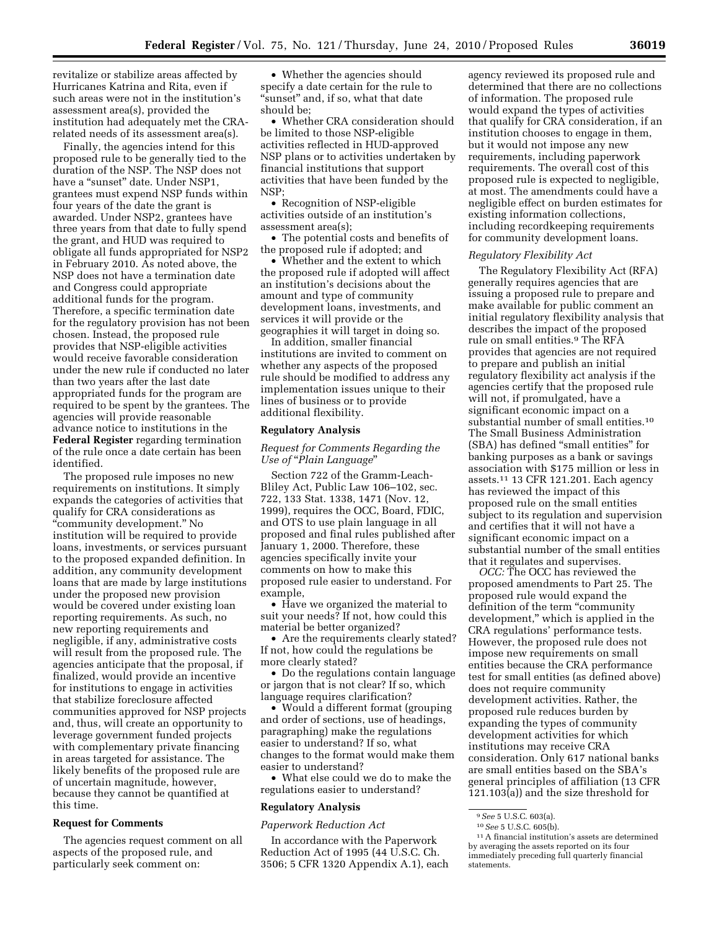revitalize or stabilize areas affected by Hurricanes Katrina and Rita, even if such areas were not in the institution's assessment area(s), provided the institution had adequately met the CRArelated needs of its assessment area(s).

Finally, the agencies intend for this proposed rule to be generally tied to the duration of the NSP. The NSP does not have a "sunset" date. Under NSP1, grantees must expend NSP funds within four years of the date the grant is awarded. Under NSP2, grantees have three years from that date to fully spend the grant, and HUD was required to obligate all funds appropriated for NSP2 in February 2010. As noted above, the NSP does not have a termination date and Congress could appropriate additional funds for the program. Therefore, a specific termination date for the regulatory provision has not been chosen. Instead, the proposed rule provides that NSP-eligible activities would receive favorable consideration under the new rule if conducted no later than two years after the last date appropriated funds for the program are required to be spent by the grantees. The agencies will provide reasonable advance notice to institutions in the **Federal Register** regarding termination of the rule once a date certain has been identified.

The proposed rule imposes no new requirements on institutions. It simply expands the categories of activities that qualify for CRA considerations as ''community development.'' No institution will be required to provide loans, investments, or services pursuant to the proposed expanded definition. In addition, any community development loans that are made by large institutions under the proposed new provision would be covered under existing loan reporting requirements. As such, no new reporting requirements and negligible, if any, administrative costs will result from the proposed rule. The agencies anticipate that the proposal, if finalized, would provide an incentive for institutions to engage in activities that stabilize foreclosure affected communities approved for NSP projects and, thus, will create an opportunity to leverage government funded projects with complementary private financing in areas targeted for assistance. The likely benefits of the proposed rule are of uncertain magnitude, however, because they cannot be quantified at this time.

## **Request for Comments**

The agencies request comment on all aspects of the proposed rule, and particularly seek comment on:

• Whether the agencies should specify a date certain for the rule to 'sunset" and, if so, what that date should be;

• Whether CRA consideration should be limited to those NSP-eligible activities reflected in HUD-approved NSP plans or to activities undertaken by financial institutions that support activities that have been funded by the NSP;

• Recognition of NSP-eligible activities outside of an institution's assessment area(s);

• The potential costs and benefits of the proposed rule if adopted; and

• Whether and the extent to which the proposed rule if adopted will affect an institution's decisions about the amount and type of community development loans, investments, and services it will provide or the geographies it will target in doing so.

In addition, smaller financial institutions are invited to comment on whether any aspects of the proposed rule should be modified to address any implementation issues unique to their lines of business or to provide additional flexibility.

## **Regulatory Analysis**

## *Request for Comments Regarding the Use of* ''*Plain Language*''

Section 722 of the Gramm-Leach-Bliley Act, Public Law 106–102, sec. 722, 133 Stat. 1338, 1471 (Nov. 12, 1999), requires the OCC, Board, FDIC, and OTS to use plain language in all proposed and final rules published after January 1, 2000. Therefore, these agencies specifically invite your comments on how to make this proposed rule easier to understand. For example,

• Have we organized the material to suit your needs? If not, how could this material be better organized?

• Are the requirements clearly stated? If not, how could the regulations be more clearly stated?

• Do the regulations contain language or jargon that is not clear? If so, which language requires clarification?

• Would a different format (grouping and order of sections, use of headings, paragraphing) make the regulations easier to understand? If so, what changes to the format would make them easier to understand?

• What else could we do to make the regulations easier to understand?

#### **Regulatory Analysis**

#### *Paperwork Reduction Act*

In accordance with the Paperwork Reduction Act of 1995 (44 U.S.C. Ch. 3506; 5 CFR 1320 Appendix A.1), each

agency reviewed its proposed rule and determined that there are no collections of information. The proposed rule would expand the types of activities that qualify for CRA consideration, if an institution chooses to engage in them, but it would not impose any new requirements, including paperwork requirements. The overall cost of this proposed rule is expected to negligible, at most. The amendments could have a negligible effect on burden estimates for existing information collections, including recordkeeping requirements for community development loans.

#### *Regulatory Flexibility Act*

The Regulatory Flexibility Act (RFA) generally requires agencies that are issuing a proposed rule to prepare and make available for public comment an initial regulatory flexibility analysis that describes the impact of the proposed rule on small entities.9 The RFA provides that agencies are not required to prepare and publish an initial regulatory flexibility act analysis if the agencies certify that the proposed rule will not, if promulgated, have a significant economic impact on a substantial number of small entities.10 The Small Business Administration (SBA) has defined ''small entities'' for banking purposes as a bank or savings association with \$175 million or less in assets.11 13 CFR 121.201. Each agency has reviewed the impact of this proposed rule on the small entities subject to its regulation and supervision and certifies that it will not have a significant economic impact on a substantial number of the small entities that it regulates and supervises.

*OCC:* The OCC has reviewed the proposed amendments to Part 25. The proposed rule would expand the definition of the term "community development,'' which is applied in the CRA regulations' performance tests. However, the proposed rule does not impose new requirements on small entities because the CRA performance test for small entities (as defined above) does not require community development activities. Rather, the proposed rule reduces burden by expanding the types of community development activities for which institutions may receive CRA consideration. Only 617 national banks are small entities based on the SBA's general principles of affiliation (13 CFR 121.103(a)) and the size threshold for

<sup>9</sup>*See* 5 U.S.C. 603(a). 10*See* 5 U.S.C. 605(b). 11A financial institution's assets are determined by averaging the assets reported on its four immediately preceding full quarterly financial statements.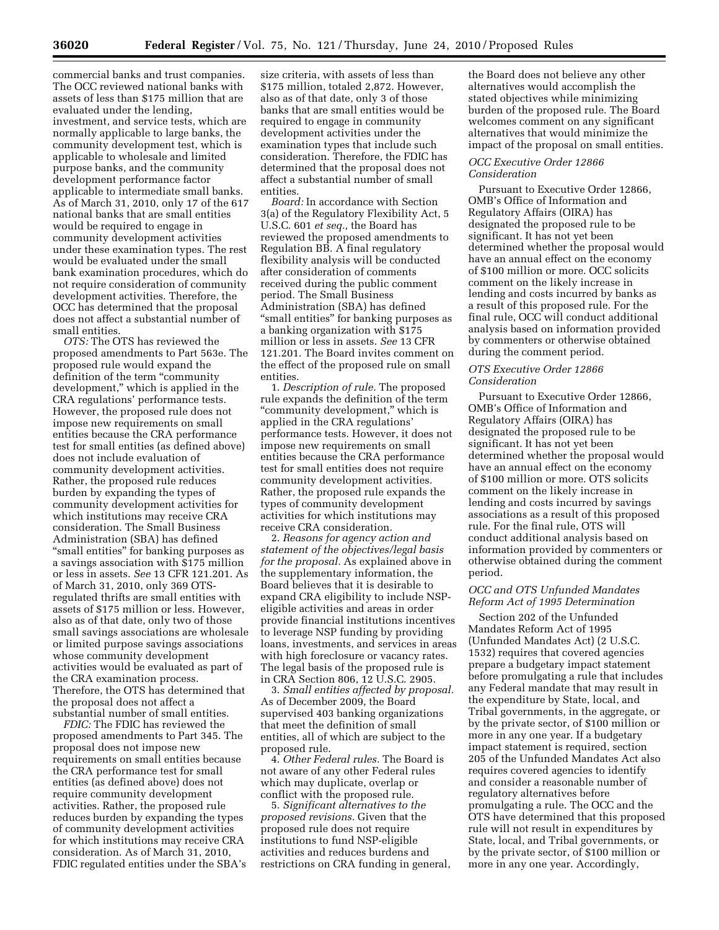commercial banks and trust companies. The OCC reviewed national banks with assets of less than \$175 million that are evaluated under the lending, investment, and service tests, which are normally applicable to large banks, the community development test, which is applicable to wholesale and limited purpose banks, and the community development performance factor applicable to intermediate small banks. As of March 31, 2010, only 17 of the 617 national banks that are small entities would be required to engage in community development activities under these examination types. The rest would be evaluated under the small bank examination procedures, which do not require consideration of community development activities. Therefore, the OCC has determined that the proposal does not affect a substantial number of small entities.

*OTS:* The OTS has reviewed the proposed amendments to Part 563e. The proposed rule would expand the definition of the term "community" development,'' which is applied in the CRA regulations' performance tests. However, the proposed rule does not impose new requirements on small entities because the CRA performance test for small entities (as defined above) does not include evaluation of community development activities. Rather, the proposed rule reduces burden by expanding the types of community development activities for which institutions may receive CRA consideration. The Small Business Administration (SBA) has defined ''small entities'' for banking purposes as a savings association with \$175 million or less in assets. *See* 13 CFR 121.201. As of March 31, 2010, only 369 OTSregulated thrifts are small entities with assets of \$175 million or less. However, also as of that date, only two of those small savings associations are wholesale or limited purpose savings associations whose community development activities would be evaluated as part of the CRA examination process. Therefore, the OTS has determined that the proposal does not affect a substantial number of small entities.

*FDIC:* The FDIC has reviewed the proposed amendments to Part 345. The proposal does not impose new requirements on small entities because the CRA performance test for small entities (as defined above) does not require community development activities. Rather, the proposed rule reduces burden by expanding the types of community development activities for which institutions may receive CRA consideration. As of March 31, 2010, FDIC regulated entities under the SBA's

size criteria, with assets of less than \$175 million, totaled 2,872. However, also as of that date, only 3 of those banks that are small entities would be required to engage in community development activities under the examination types that include such consideration. Therefore, the FDIC has determined that the proposal does not affect a substantial number of small entities.

*Board:* In accordance with Section 3(a) of the Regulatory Flexibility Act, 5 U.S.C. 601 *et seq.,* the Board has reviewed the proposed amendments to Regulation BB. A final regulatory flexibility analysis will be conducted after consideration of comments received during the public comment period. The Small Business Administration (SBA) has defined ''small entities'' for banking purposes as a banking organization with \$175 million or less in assets. *See* 13 CFR 121.201. The Board invites comment on the effect of the proposed rule on small entities.

1. *Description of rule.* The proposed rule expands the definition of the term ''community development,'' which is applied in the CRA regulations' performance tests. However, it does not impose new requirements on small entities because the CRA performance test for small entities does not require community development activities. Rather, the proposed rule expands the types of community development activities for which institutions may receive CRA consideration.

2. *Reasons for agency action and statement of the objectives/legal basis for the proposal.* As explained above in the supplementary information, the Board believes that it is desirable to expand CRA eligibility to include NSPeligible activities and areas in order provide financial institutions incentives to leverage NSP funding by providing loans, investments, and services in areas with high foreclosure or vacancy rates. The legal basis of the proposed rule is in CRA Section 806, 12 U.S.C. 2905.

3. *Small entities affected by proposal.*  As of December 2009, the Board supervised 403 banking organizations that meet the definition of small entities, all of which are subject to the proposed rule.

4. *Other Federal rules.* The Board is not aware of any other Federal rules which may duplicate, overlap or conflict with the proposed rule.

5. *Significant alternatives to the proposed revisions.* Given that the proposed rule does not require institutions to fund NSP-eligible activities and reduces burdens and restrictions on CRA funding in general,

the Board does not believe any other alternatives would accomplish the stated objectives while minimizing burden of the proposed rule. The Board welcomes comment on any significant alternatives that would minimize the impact of the proposal on small entities.

## *OCC Executive Order 12866 Consideration*

Pursuant to Executive Order 12866, OMB's Office of Information and Regulatory Affairs (OIRA) has designated the proposed rule to be significant. It has not yet been determined whether the proposal would have an annual effect on the economy of \$100 million or more. OCC solicits comment on the likely increase in lending and costs incurred by banks as a result of this proposed rule. For the final rule, OCC will conduct additional analysis based on information provided by commenters or otherwise obtained during the comment period.

### *OTS Executive Order 12866 Consideration*

Pursuant to Executive Order 12866, OMB's Office of Information and Regulatory Affairs (OIRA) has designated the proposed rule to be significant. It has not yet been determined whether the proposal would have an annual effect on the economy of \$100 million or more. OTS solicits comment on the likely increase in lending and costs incurred by savings associations as a result of this proposed rule. For the final rule, OTS will conduct additional analysis based on information provided by commenters or otherwise obtained during the comment period.

# *OCC and OTS Unfunded Mandates Reform Act of 1995 Determination*

Section 202 of the Unfunded Mandates Reform Act of 1995 (Unfunded Mandates Act) (2 U.S.C. 1532) requires that covered agencies prepare a budgetary impact statement before promulgating a rule that includes any Federal mandate that may result in the expenditure by State, local, and Tribal governments, in the aggregate, or by the private sector, of \$100 million or more in any one year. If a budgetary impact statement is required, section 205 of the Unfunded Mandates Act also requires covered agencies to identify and consider a reasonable number of regulatory alternatives before promulgating a rule. The OCC and the OTS have determined that this proposed rule will not result in expenditures by State, local, and Tribal governments, or by the private sector, of \$100 million or more in any one year. Accordingly,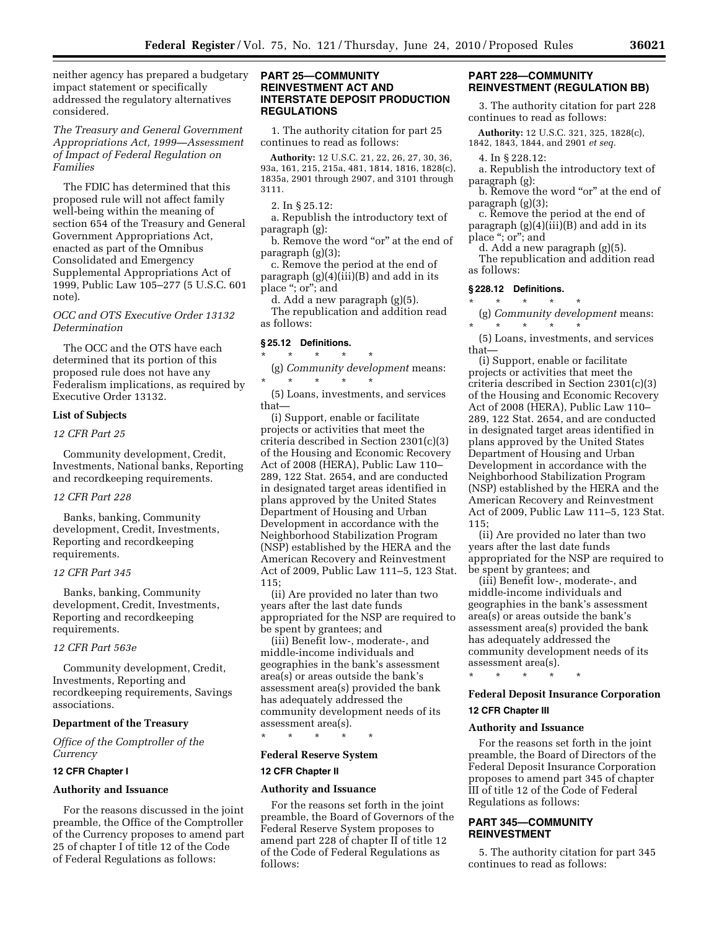neither agency has prepared a budgetary impact statement or specifically addressed the regulatory alternatives considered.

*The Treasury and General Government Appropriations Act, 1999—Assessment of Impact of Federal Regulation on Families* 

The FDIC has determined that this proposed rule will not affect family well-being within the meaning of section 654 of the Treasury and General Government Appropriations Act, enacted as part of the Omnibus Consolidated and Emergency Supplemental Appropriations Act of 1999, Public Law 105–277 (5 U.S.C. 601 note).

# *OCC and OTS Executive Order 13132 Determination*

The OCC and the OTS have each determined that its portion of this proposed rule does not have any Federalism implications, as required by Executive Order 13132.

#### **List of Subjects**

## *12 CFR Part 25*

Community development, Credit, Investments, National banks, Reporting and recordkeeping requirements.

### *12 CFR Part 228*

Banks, banking, Community development, Credit, Investments, Reporting and recordkeeping requirements.

## *12 CFR Part 345*

Banks, banking, Community development, Credit, Investments, Reporting and recordkeeping requirements.

## *12 CFR Part 563e*

Community development, Credit, Investments, Reporting and recordkeeping requirements, Savings associations.

## **Department of the Treasury**

*Office of the Comptroller of the Currency* 

# **12 CFR Chapter I**

# **Authority and Issuance**

For the reasons discussed in the joint preamble, the Office of the Comptroller of the Currency proposes to amend part 25 of chapter I of title 12 of the Code of Federal Regulations as follows:

# **PART 25—COMMUNITY REINVESTMENT ACT AND INTERSTATE DEPOSIT PRODUCTION REGULATIONS**

1. The authority citation for part 25 continues to read as follows:

**Authority:** 12 U.S.C. 21, 22, 26, 27, 30, 36, 93a, 161, 215, 215a, 481, 1814, 1816, 1828(c), 1835a, 2901 through 2907, and 3101 through 3111.

```
2. In § 25.12:
```
a. Republish the introductory text of paragraph (g):

b. Remove the word "or" at the end of paragraph (g)(3);

c. Remove the period at the end of paragraph (g)(4)(iii)(B) and add in its place ''; or''; and

d. Add a new paragraph (g)(5).

The republication and addition read as follows:

## **§ 25.12 Definitions.**

\* \* \* \* \*

(g) *Community development* means:  $\star$   $\quad$   $\star$   $\quad$   $\star$   $\quad$   $\star$ 

(5) Loans, investments, and services that—

(i) Support, enable or facilitate projects or activities that meet the criteria described in Section 2301(c)(3) of the Housing and Economic Recovery Act of 2008 (HERA), Public Law 110– 289, 122 Stat. 2654, and are conducted in designated target areas identified in plans approved by the United States Department of Housing and Urban Development in accordance with the Neighborhood Stabilization Program (NSP) established by the HERA and the American Recovery and Reinvestment Act of 2009, Public Law 111–5, 123 Stat. 115;

(ii) Are provided no later than two years after the last date funds appropriated for the NSP are required to be spent by grantees; and

(iii) Benefit low-, moderate-, and middle-income individuals and geographies in the bank's assessment area(s) or areas outside the bank's assessment area(s) provided the bank has adequately addressed the community development needs of its assessment area(s).

\* \* \* \* \*

# **Federal Reserve System**

### **12 CFR Chapter II**

#### **Authority and Issuance**

For the reasons set forth in the joint preamble, the Board of Governors of the Federal Reserve System proposes to amend part 228 of chapter II of title 12 of the Code of Federal Regulations as follows:

## **PART 228—COMMUNITY REINVESTMENT (REGULATION BB)**

3. The authority citation for part 228 continues to read as follows:

**Authority:** 12 U.S.C. 321, 325, 1828(c), 1842, 1843, 1844, and 2901 *et seq.* 

4. In § 228.12:

a. Republish the introductory text of paragraph (g):

b. Remove the word "or" at the end of paragraph (g)(3);

c. Remove the period at the end of paragraph (g)(4)(iii)(B) and add in its place ''; or''; and

d. Add a new paragraph (g)(5).

The republication and addition read as follows:

# **§ 228.12 Definitions.**

\* \* \* \* \* (g) *Community development* means:

\* \* \* \* \* (5) Loans, investments, and services

that—

(i) Support, enable or facilitate projects or activities that meet the criteria described in Section 2301(c)(3) of the Housing and Economic Recovery Act of 2008 (HERA), Public Law 110– 289, 122 Stat. 2654, and are conducted in designated target areas identified in plans approved by the United States Department of Housing and Urban Development in accordance with the Neighborhood Stabilization Program (NSP) established by the HERA and the American Recovery and Reinvestment Act of 2009, Public Law 111–5, 123 Stat. 115;

(ii) Are provided no later than two years after the last date funds appropriated for the NSP are required to be spent by grantees; and

(iii) Benefit low-, moderate-, and middle-income individuals and geographies in the bank's assessment area(s) or areas outside the bank's assessment area(s) provided the bank has adequately addressed the community development needs of its assessment area(s).

\* \* \* \* \*

# **Federal Deposit Insurance Corporation**

# **12 CFR Chapter III**

#### **Authority and Issuance**

For the reasons set forth in the joint preamble, the Board of Directors of the Federal Deposit Insurance Corporation proposes to amend part 345 of chapter III of title 12 of the Code of Federal Regulations as follows:

# **PART 345—COMMUNITY REINVESTMENT**

5. The authority citation for part 345 continues to read as follows: